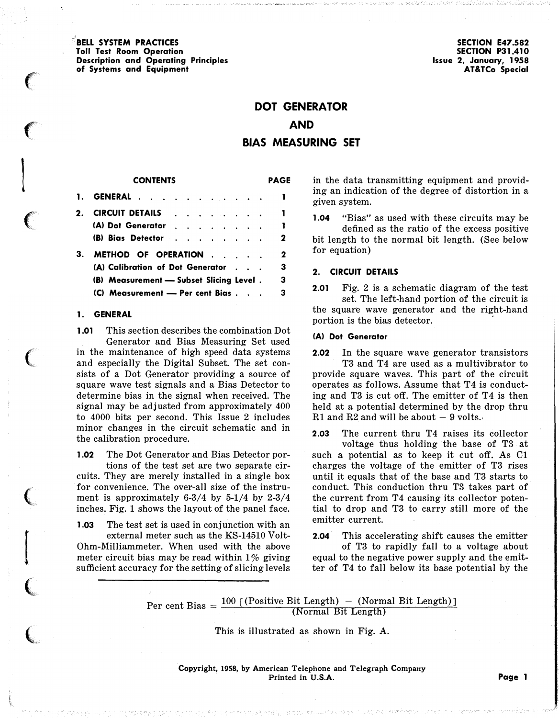#### BELL SYSTEM PRACTICES Toll Test Room Operation Description and Operating Principles of Systems and Equipment

SECTION E47.582 SECTION P31.410 Issue 2, January, 1958 AT&TCo Special

# DOT GENERATOR

# AND

# BIAS MEASURING SET

|    | <b>CONTENTS</b>                         |  | PAGE                    |
|----|-----------------------------------------|--|-------------------------|
|    | 1. GENERAL 1                            |  |                         |
| 2. | CIRCUIT DETAILS 1                       |  |                         |
|    | (A) Dot Generator                       |  | п                       |
|    | (B) Bias Detector                       |  | 2                       |
| З. | <b>METHOD OF OPERATION</b>              |  | $\overline{\mathbf{2}}$ |
|    | (A) Calibration of Dot Generator        |  | 3                       |
|    | (B) Measurement - Subset Slicing Level. |  | 3                       |
|    | (C) Measurement - Per cent Bias         |  | 3                       |

### 1. GENERAL

 $\epsilon$ 

 $\big($ 

 $\overline{\phantom{a}}$ 

 $\big($ 

 $\big($ 

 $\big($ 

**I**<br>I<br>I

 $\big($ 

 $\big($ 

1.01 This section describes the combination Dot Generator and Bias Measuring Set used in the maintenance of high speed data systems and especially the Digital Subset. The set consists of a Dot Generator providing a source of square wave test signals and a Bias Detector to determine bias in the signal when received. The signal may be adjusted from approximately 400 to 4000 bits per second. This Issue 2 includes minor changes in the circuit schematic and in the calibration procedure.

1.02 The Dot Generator and Bias Detector portions of the test set are two separate circuits. They are merely installed in a single box for convenience. The over-all size of the instrument is approximately  $6-3/4$  by  $5-1/4$  by  $2-3/4$ inches. Fig. 1 shows the layout of the panel face.

1.03 The test set is used in conjunction with an external meter such as the KS-14510 Volt-Ohm-Milliammeter. When used with the above meter circuit bias may be read within  $1\%$  giving sufficient accuracy for the setting of slicing levels in the data transmitting equipment and providing an indication of the degree of distortion in a given system.

1 .04 "Bias" as used with these circuits may be defined as the ratio of the excess positive bit length to the normal bit length. (See below for equation)

## 2. CIRCUIT DETAILS

**2.01** Fig. 2 is a schematic diagram of the test set. The left-hand portion of the circuit is the square wave generator and the right-hand portion is the bias detector.

### (A) Dot Generator

2.02 In the square wave generator transistors T3 and T4 are used as a multivibrator to

provide square waves. This part of the circuit operates as follows. Assume that T4 is conducting and T3 is cut off. The emitter of T4 is then held at a potential determined by the drop thru R1 and R2 and will be about  $-9$  volts...

2.03 The current thru T4 raises its collector voltage thus holding the base of T3 at such a potential as to keep it cut off. As C1 charges the voltage of the emitter of T3 rises until it equals that of the base and T3 starts to conduct. This conduction thru T3 takes part of the current from T4 causing its collector potential to drop and T3 to carry still more of the emitter current.

2.04 This accelerating shift causes the emitter

of T3 to rapidly fall to a voltage about equal to the negative power supply and the emitter of T4 to fall below its base potential by the

Per cent Bias =  $\frac{100}{(Positive Bit Length)}$  - (Normal Bit Length)] (Normal Bit Length)

This is illustrated as shown in Fig. A.

Copyright, 1958, by American Telephone and Telegraph Company Printed in U.S.A. Page 1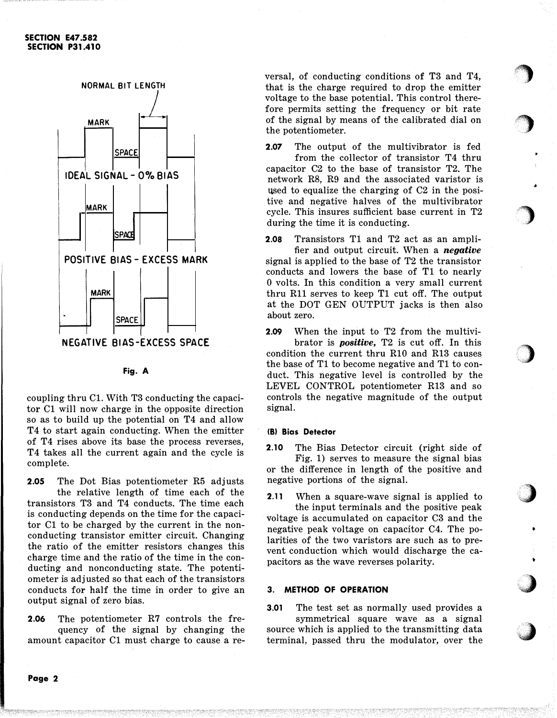### SECTION E47.582 SECTION P31.410



#### Fig. A

coupling thru Cl. With T3 conducting the capacitor Cl will now charge in the opposite direction so as to build up the potential on T4 and allow T4 to start again conducting. When the emitter of T4 rises above its base the process reverses, T4 takes all the current again and the cycle is complete,

2.05 The Dot Bias potentiometer R5 adjusts the relative length of time each of the transistors T3 and T4 conducts. The time each is conducting depends on the time for the capacitor Cl to be charged by the current in the nonconducting transistor emitter circuit. Changing the ratio of the emitter resistors changes this charge time and the ratio of the time in the conducting and nonconducting state. The potentiometer is adjusted so that each of the transistors conducts for half the time in order to give an output signal of zero bias.

2.06 The potentiometer R7 controls the frequency of the signal by changing the amount capacitor Cl must charge to cause a reversal, of conducting conditions of T3 and T4, that is the charge required to drop the emitter voltage to the base potential. This control therefore permits setting the frequency or bit rate of the signal by means of the calibrated dial on the potentiometer.

 $\blacksquare$ 

<u>ra</u>

..

 $\bigcirc$ 

 $\sum_{i=1}^n$ 

\* )

•

•

 $\cdot$  .  $\cdot$   $\cdot$ ':J

2.07 The output of the multivibrator is fed from the collector of transistor T4 thru capacitor C2 to the base of transistor T2. The network R8, R9 and the associated varistor is used to equalize the charging of  $C2$  in the positive and negative halves of the multivibrator cycle. This insures sufficient base current in T2 during the time it is conducting.

2.08 Transistors Tl and T2 act as an amplifier and output circuit. When a **negative** signal is applied to the base of T2 the transistor conducts and lowers the base of Tl to nearly 0 volts. In this condition a very small current thru Rll serves to keep Tl cut off. The output at the DOT GEN OUTPUT jacks is then also about zero.

2.09 When the input to T2 from the multivi-

brator is positive, T2 is cut off. In this condition the current thru RlO and R13 causes the base of Tl to become negative and Tl to conduct. This negative level is controlled by the LEVEL CONTROL potentiometer R13 and so controls the negative magnitude of the output signal.

## (8) Bias Detector

2.10 The Bias Detector circuit (right side of Fig. 1) serves to measure the signal bias or the difference in length of the positive and negative portions of the signal.

2.11 When a square-wave signal is applied to the input terminals and the positive peak voltage is accumulated on capacitor C3 and the negative peak voltage on capacitor C4. The polarities of the two varistors are such as to prevent conduction which would discharge the capacitors as the wave reverses polarity.

## 3. METHOD OF OPERATION

3.01 The test set as normally used provides a

symmetrical square wave as a signal source which is applied to the transmitting data terminal, passed thru the modulator, over the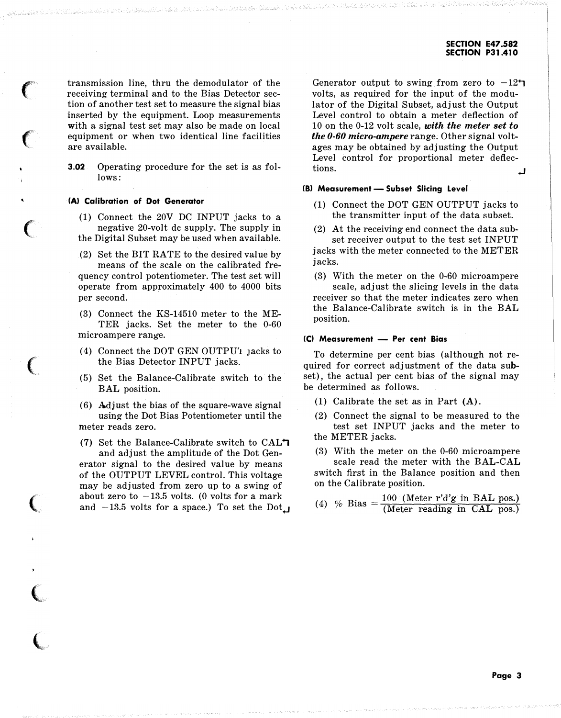transmission line, thru the demodulator of the receiving terminal and to the Bias Detector section of another test set to measure the signal bias inserted by the equipment. Loop measurements with a signal test set may also be made on local equipment or when two identical line facilities are available.

3.02 Operating procedure for the set is as follows:

## (A) Calibration of Dot Generator

..

 $\bigl(\bigl($ 

 $\big($ 

 $\big($ 

(.

(

- (1) Connect the 20V DC INPUT jacks to a negative 20-volt de supply. The supply in the Digital Subset may be used when available.
- (2) Set the BIT RATE to the desired value by means of the scale on the calibrated frequency control potentiometer. The test set will operate from approximately 400 to 4000 bits per second.
- (3) Connect the KS-14510 meter to the ME-TER jacks. Set the meter to the 0-60 microampere range.
- (4) Connect the DOT GEN OUTPU'1 Jacks to the Bias Detector INPUT jacks.
- (5) Set the Balance-Calibrate switch to the BAL position.
- (6) Adjust the bias of the square-wave signal using the Dot Bias Potentiometer until the meter reads zero.
- (7) Set the Balance-Calibrate switch to  $CAL<sup>+</sup>$ and adjust the amplitude of the Dot Generator signal to the desired value by means of the OUTPUT LEVEL control. This voltage may be adjusted from zero up to a swing of about zero to  $-13.5$  volts. (0 volts for a mark and  $-13.5$  volts for a space.) To set the Dot<sub>.</sub>

Generator output to swing from zero to  $-12$ . volts, as required for the input of the modulator of the Digital Subset, adjust the Output Level control to obtain a meter deflection of 10 on the 0-12 volt scale, with the meter set to the 0-60 micro-ampere range. Other signal voltages may be obtained by adjusting the Output Level control for proportional meter deflections.  $\Box$ 

#### (B) Measurement - Subset Slicing Level

- (1) Connect the DOT GEN OUTPUT jacks to the transmitter input of the data subset.
- (2) At the receiving end connect the data subset receiver output to the test set INPUT jacks with the meter connected to the METER

jacks.

(3) With the meter on the 0-60 microampere scale, adjust the slicing levels in the data receiver so that the meter indicates zero when the Balance-Calibrate switch is in the BAL position.

#### (C) Measurement - Per cent Bias

To determine per cent bias (although not required for correct adjustment of the data subset), the actual per cent bias of the signal may be determined as follows.

- (1) Calibrate the set as in Part (A).
- (2) Connect the signal to be measured to the test set INPUT jacks and the meter to the METER jacks.

(3) With the meter on the 0-60 microampere scale read the meter with the BAL-CAL switch first in the Balance position and then on the Calibrate position.

(4) % Bias  $= \frac{100 \text{ (Meter r'd'g in BAL pos.)}}{(Motor region in CAI post.)}$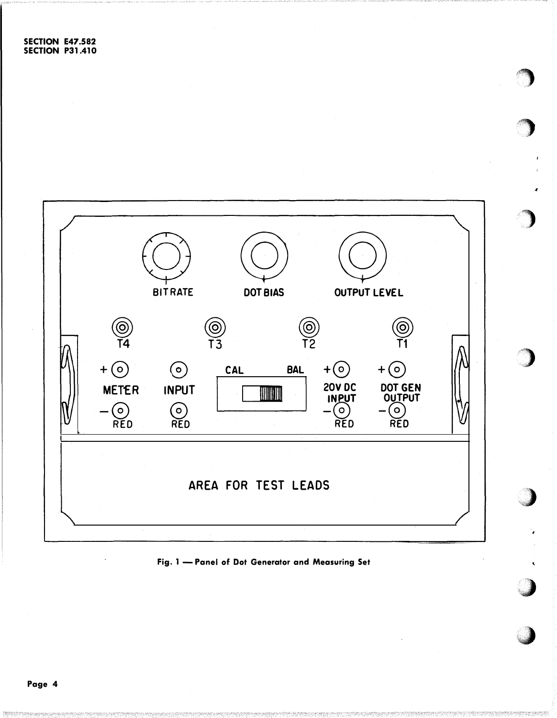

Fig. 1 - Panel of Dot Generator and Measuring Set